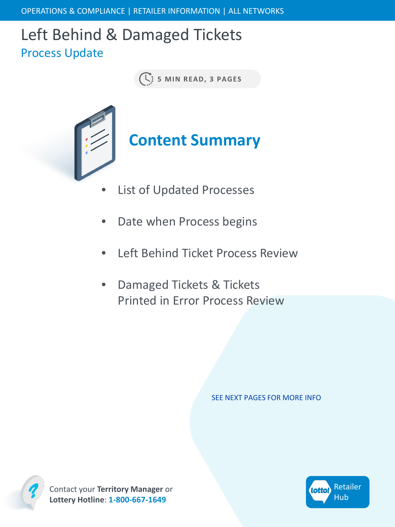# Left Behind & Damaged Tickets Process Update

**5 MIN READ, 3 PAGES**



- List of Updated Processes
- Date when Process begins
- Left Behind Ticket Process Review
- Damaged Tickets & Tickets Printed in Error Process Review

SEE NEXT PAGES FOR MORE INFO



Contact your **Territory Manager** or **Lottery Hotline**: **1-800-667-1649**

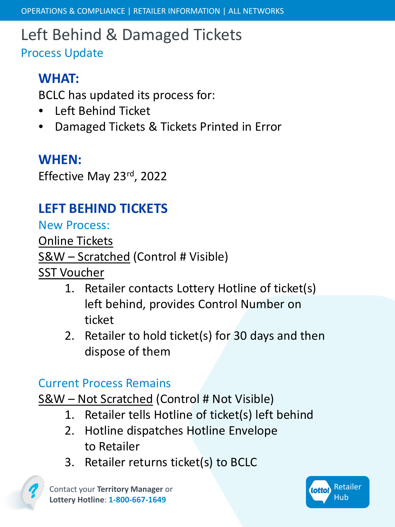## Left Behind & Damaged Tickets Process Update

#### **WHAT:**

BCLC has updated its process for:

- Left Behind Ticket
- Damaged Tickets & Tickets Printed in Error

#### **WHEN:**

Effective May 23rd, 2022

## **LEFT BEHIND TICKETS**

New Process:

Online Tickets S&W – Scratched (Control # Visible)

SST Voucher

- 1. Retailer contacts Lottery Hotline of ticket(s) left behind, provides Control Number on ticket
- 2. Retailer to hold ticket(s) for 30 days and then dispose of them

#### Current Process Remains

S&W – Not Scratched (Control # Not Visible)

- 1. Retailer tells Hotline of ticket(s) left behind
- 2. Hotline dispatches Hotline Envelope to Retailer
- 3. Retailer returns ticket(s) to BCLC

Contact your **Territory Manager** or **Lottery Hotline**: **1-800-667-1649**